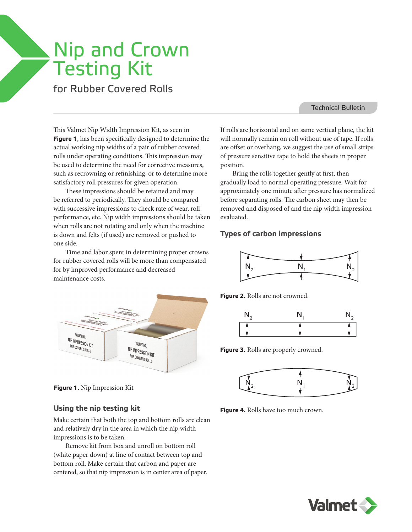# Nip and Crown Testing Kit

## for Rubber Covered Rolls

#### Technical Bulletin

This Valmet Nip Width Impression Kit, as seen in **Figure 1**, has been specifically designed to determine the actual working nip widths of a pair of rubber covered rolls under operating conditions. This impression may be used to determine the need for corrective measures, such as recrowning or refinishing, or to determine more satisfactory roll pressures for given operation.

These impressions should be retained and may be referred to periodically. They should be compared with successive impressions to check rate of wear, roll performance, etc. Nip width impressions should be taken when rolls are not rotating and only when the machine is down and felts (if used) are removed or pushed to one side.

Time and labor spent in determining proper crowns for rubber covered rolls will be more than compensated for by improved performance and decreased maintenance costs.





#### **Using the nip testing kit**

Make certain that both the top and bottom rolls are clean and relatively dry in the area in which the nip width impressions is to be taken.

Remove kit from box and unroll on bottom roll (white paper down) at line of contact between top and bottom roll. Make certain that carbon and paper are centered, so that nip impression is in center area of paper. If rolls are horizontal and on same vertical plane, the kit will normally remain on roll without use of tape. If rolls are offset or overhang, we suggest the use of small strips of pressure sensitive tape to hold the sheets in proper position.

Bring the rolls together gently at first, then gradually load to normal operating pressure. Wait for approximately one minute after pressure has normalized before separating rolls. The carbon sheet may then be removed and disposed of and the nip width impression evaluated.

#### **Types of carbon impressions**



**Figure 2.** Rolls are not crowned.



**Figure 3.** Rolls are properly crowned.



**Figure 4.** Rolls have too much crown.